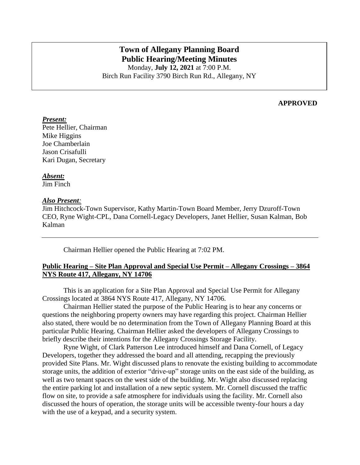# **Town of Allegany Planning Board Public Hearing/Meeting Minutes**

Monday, **July 12, 2021** at 7:00 P.M. Birch Run Facility 3790 Birch Run Rd., Allegany, NY

## **APPROVED**

#### *Present:*

Pete Hellier, Chairman Mike Higgins Joe Chamberlain Jason Crisafulli Kari Dugan, Secretary

#### *Absent:*

Jim Finch

#### *Also Present:*

Jim Hitchcock-Town Supervisor, Kathy Martin-Town Board Member, Jerry Dzuroff-Town CEO, Ryne Wight-CPL, Dana Cornell-Legacy Developers, Janet Hellier, Susan Kalman, Bob Kalman

Chairman Hellier opened the Public Hearing at 7:02 PM.

## **Public Hearing – Site Plan Approval and Special Use Permit – Allegany Crossings – 3864 NYS Route 417, Allegany, NY 14706**

This is an application for a Site Plan Approval and Special Use Permit for Allegany Crossings located at 3864 NYS Route 417, Allegany, NY 14706.

Chairman Hellier stated the purpose of the Public Hearing is to hear any concerns or questions the neighboring property owners may have regarding this project. Chairman Hellier also stated, there would be no determination from the Town of Allegany Planning Board at this particular Public Hearing. Chairman Hellier asked the developers of Allegany Crossings to briefly describe their intentions for the Allegany Crossings Storage Facility.

Ryne Wight, of Clark Patterson Lee introduced himself and Dana Cornell, of Legacy Developers, together they addressed the board and all attending, recapping the previously provided Site Plans. Mr. Wight discussed plans to renovate the existing building to accommodate storage units, the addition of exterior "drive-up" storage units on the east side of the building, as well as two tenant spaces on the west side of the building. Mr. Wight also discussed replacing the entire parking lot and installation of a new septic system. Mr. Cornell discussed the traffic flow on site, to provide a safe atmosphere for individuals using the facility. Mr. Cornell also discussed the hours of operation, the storage units will be accessible twenty-four hours a day with the use of a keypad, and a security system.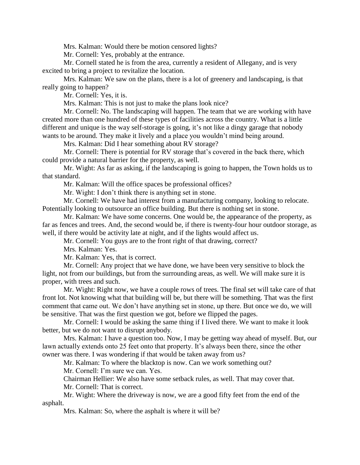Mrs. Kalman: Would there be motion censored lights?

Mr. Cornell: Yes, probably at the entrance.

Mr. Cornell stated he is from the area, currently a resident of Allegany, and is very excited to bring a project to revitalize the location.

Mrs. Kalman: We saw on the plans, there is a lot of greenery and landscaping, is that really going to happen?

Mr. Cornell: Yes, it is.

Mrs. Kalman: This is not just to make the plans look nice?

Mr. Cornell: No. The landscaping will happen. The team that we are working with have created more than one hundred of these types of facilities across the country. What is a little different and unique is the way self-storage is going, it's not like a dingy garage that nobody wants to be around. They make it lively and a place you wouldn't mind being around.

Mrs. Kalman: Did I hear something about RV storage?

Mr. Cornell: There is potential for RV storage that's covered in the back there, which could provide a natural barrier for the property, as well.

Mr. Wight: As far as asking, if the landscaping is going to happen, the Town holds us to that standard.

Mr. Kalman: Will the office spaces be professional offices?

Mr. Wight: I don't think there is anything set in stone.

Mr. Cornell: We have had interest from a manufacturing company, looking to relocate. Potentially looking to outsource an office building. But there is nothing set in stone.

Mr. Kalman: We have some concerns. One would be, the appearance of the property, as far as fences and trees. And, the second would be, if there is twenty-four hour outdoor storage, as well, if there would be activity late at night, and if the lights would affect us.

Mr. Cornell: You guys are to the front right of that drawing, correct?

Mrs. Kalman: Yes.

Mr. Kalman: Yes, that is correct.

Mr. Cornell: Any project that we have done, we have been very sensitive to block the light, not from our buildings, but from the surrounding areas, as well. We will make sure it is proper, with trees and such.

Mr. Wight: Right now, we have a couple rows of trees. The final set will take care of that front lot. Not knowing what that building will be, but there will be something. That was the first comment that came out. We don't have anything set in stone, up there. But once we do, we will be sensitive. That was the first question we got, before we flipped the pages.

Mr. Cornell: I would be asking the same thing if I lived there. We want to make it look better, but we do not want to disrupt anybody.

Mrs. Kalman: I have a question too. Now, I may be getting way ahead of myself. But, our lawn actually extends onto 25 feet onto that property. It's always been there, since the other owner was there. I was wondering if that would be taken away from us?

Mr. Kalman: To where the blacktop is now. Can we work something out?

Mr. Cornell: I'm sure we can. Yes.

Chairman Hellier: We also have some setback rules, as well. That may cover that.

Mr. Cornell: That is correct.

Mr. Wight: Where the driveway is now, we are a good fifty feet from the end of the asphalt.

Mrs. Kalman: So, where the asphalt is where it will be?